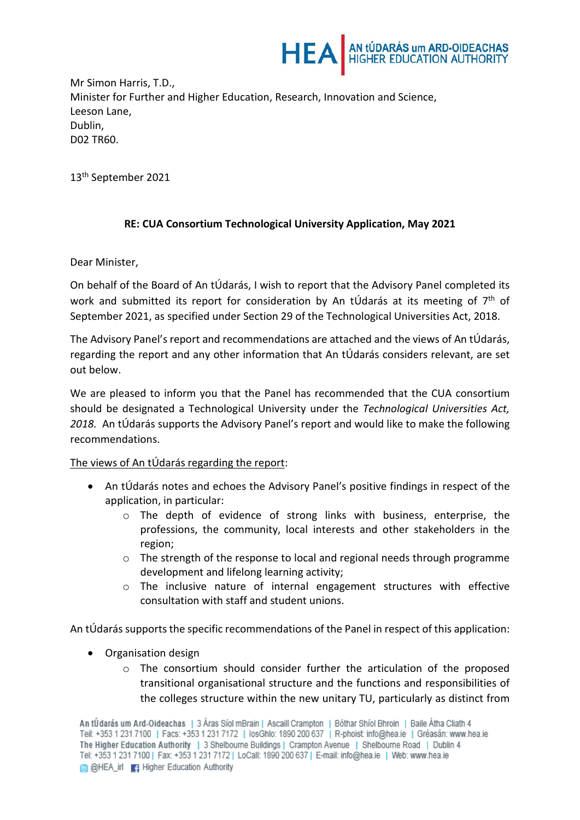

Mr Simon Harris, T.D., Minister for Further and Higher Education, Research, Innovation and Science, Leeson Lane, Dublin, D02 TR60.

13th September 2021

## **RE: CUA Consortium Technological University Application, May 2021**

Dear Minister,

On behalf of the Board of An tÚdarás, I wish to report that the Advisory Panel completed its work and submitted its report for consideration by An tÚdarás at its meeting of  $7<sup>th</sup>$  of September 2021, as specified under Section 29 of the Technological Universities Act, 2018.

The Advisory Panel's report and recommendations are attached and the views of An tÚdarás, regarding the report and any other information that An tÚdarás considers relevant, are set out below.

We are pleased to inform you that the Panel has recommended that the CUA consortium should be designated a Technological University under the *Technological Universities Act, 2018.* An tÚdarás supports the Advisory Panel's report and would like to make the following recommendations.

The views of An tÚdarás regarding the report:

- An tÚdarás notes and echoes the Advisory Panel's positive findings in respect of the application, in particular:
	- o The depth of evidence of strong links with business, enterprise, the professions, the community, local interests and other stakeholders in the region;
	- $\circ$  The strength of the response to local and regional needs through programme development and lifelong learning activity;
	- o The inclusive nature of internal engagement structures with effective consultation with staff and student unions.

An tÚdarás supports the specific recommendations of the Panel in respect of this application:

- Organisation design
	- $\circ$  The consortium should consider further the articulation of the proposed transitional organisational structure and the functions and responsibilities of the colleges structure within the new unitary TU, particularly as distinct from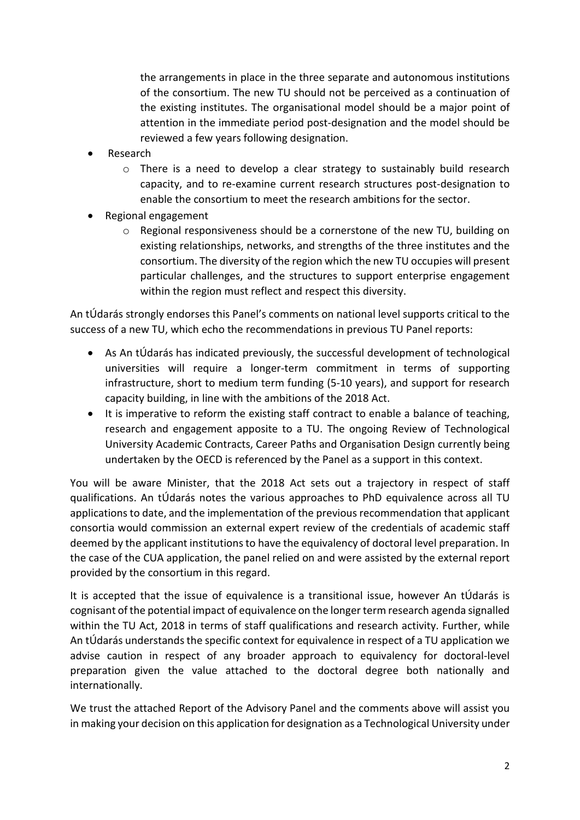the arrangements in place in the three separate and autonomous institutions of the consortium. The new TU should not be perceived as a continuation of the existing institutes. The organisational model should be a major point of attention in the immediate period post-designation and the model should be reviewed a few years following designation.

- **Research** 
	- $\circ$  There is a need to develop a clear strategy to sustainably build research capacity, and to re-examine current research structures post-designation to enable the consortium to meet the research ambitions for the sector.
- Regional engagement
	- $\circ$  Regional responsiveness should be a cornerstone of the new TU, building on existing relationships, networks, and strengths of the three institutes and the consortium. The diversity of the region which the new TU occupies will present particular challenges, and the structures to support enterprise engagement within the region must reflect and respect this diversity.

An tÚdarás strongly endorses this Panel's comments on national level supports critical to the success of a new TU, which echo the recommendations in previous TU Panel reports:

- As An tÚdarás has indicated previously, the successful development of technological universities will require a longer-term commitment in terms of supporting infrastructure, short to medium term funding (5-10 years), and support for research capacity building, in line with the ambitions of the 2018 Act.
- It is imperative to reform the existing staff contract to enable a balance of teaching, research and engagement apposite to a TU. The ongoing Review of Technological University Academic Contracts, Career Paths and Organisation Design currently being undertaken by the OECD is referenced by the Panel as a support in this context.

You will be aware Minister, that the 2018 Act sets out a trajectory in respect of staff qualifications. An tÚdarás notes the various approaches to PhD equivalence across all TU applications to date, and the implementation of the previous recommendation that applicant consortia would commission an external expert review of the credentials of academic staff deemed by the applicant institutions to have the equivalency of doctoral level preparation. In the case of the CUA application, the panel relied on and were assisted by the external report provided by the consortium in this regard.

It is accepted that the issue of equivalence is a transitional issue, however An tÚdarás is cognisant of the potential impact of equivalence on the longer term research agenda signalled within the TU Act, 2018 in terms of staff qualifications and research activity. Further, while An tÚdarás understands the specific context for equivalence in respect of a TU application we advise caution in respect of any broader approach to equivalency for doctoral-level preparation given the value attached to the doctoral degree both nationally and internationally.

We trust the attached Report of the Advisory Panel and the comments above will assist you in making your decision on this application for designation as a Technological University under